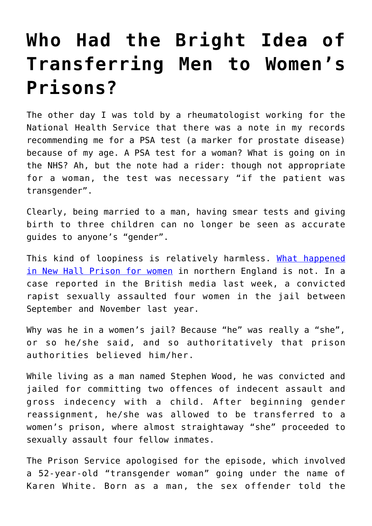## **[Who Had the Bright Idea of](https://intellectualtakeout.org/2018/09/who-had-the-bright-idea-of-transferring-men-to-womens-prisons/) [Transferring Men to Women's](https://intellectualtakeout.org/2018/09/who-had-the-bright-idea-of-transferring-men-to-womens-prisons/) [Prisons?](https://intellectualtakeout.org/2018/09/who-had-the-bright-idea-of-transferring-men-to-womens-prisons/)**

The other day I was told by a rheumatologist working for the National Health Service that there was a note in my records recommending me for a PSA test (a marker for prostate disease) because of my age. A PSA test for a woman? What is going on in the NHS? Ah, but the note had a rider: though not appropriate for a woman, the test was necessary "if the patient was transgender".

Clearly, being married to a man, having smear tests and giving birth to three children can no longer be seen as accurate guides to anyone's "gender".

This kind of loopiness is relatively harmless. [What happened](https://www.telegraph.co.uk/news/2018/09/06/transgender-person-accused-rape-remanded-female-prison-sexually/) [in New Hall Prison for women](https://www.telegraph.co.uk/news/2018/09/06/transgender-person-accused-rape-remanded-female-prison-sexually/) in northern England is not. In a case reported in the British media last week, a convicted rapist sexually assaulted four women in the jail between September and November last year.

Why was he in a women's jail? Because "he" was really a "she", or so he/she said, and so authoritatively that prison authorities believed him/her.

While living as a man named Stephen Wood, he was convicted and jailed for committing two offences of indecent assault and gross indecency with a child. After beginning gender reassignment, he/she was allowed to be transferred to a women's prison, where almost straightaway "she" proceeded to sexually assault four fellow inmates.

The Prison Service apologised for the episode, which involved a 52-year-old "transgender woman" going under the name of Karen White. Born as a man, the sex offender told the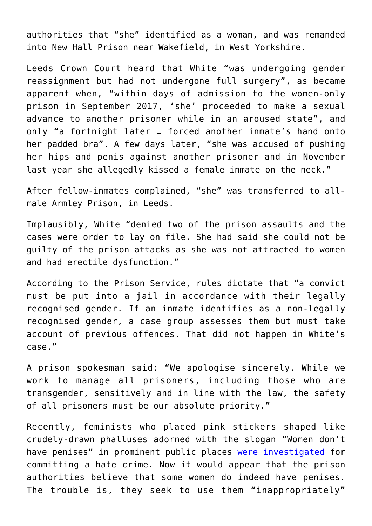authorities that "she" identified as a woman, and was remanded into New Hall Prison near Wakefield, in West Yorkshire.

Leeds Crown Court heard that White "was undergoing gender reassignment but had not undergone full surgery", as became apparent when, "within days of admission to the women-only prison in September 2017, 'she' proceeded to make a sexual advance to another prisoner while in an aroused state", and only "a fortnight later … forced another inmate's hand onto her padded bra". A few days later, "she was accused of pushing her hips and penis against another prisoner and in November last year she allegedly kissed a female inmate on the neck."

After fellow-inmates complained, "she" was transferred to allmale Armley Prison, in Leeds.

Implausibly, White "denied two of the prison assaults and the cases were order to lay on file. She had said she could not be guilty of the prison attacks as she was not attracted to women and had erectile dysfunction."

According to the Prison Service, rules dictate that "a convict must be put into a jail in accordance with their legally recognised gender. If an inmate identifies as a non-legally recognised gender, a case group assesses them but must take account of previous offences. That did not happen in White's case."

A prison spokesman said: "We apologise sincerely. While we work to manage all prisoners, including those who are transgender, sensitively and in line with the law, the safety of all prisoners must be our absolute priority."

Recently, feminists who placed pink stickers shaped like crudely-drawn phalluses adorned with the slogan "Women don't have penises" in prominent public places [were investigated](https://www.pressreader.com/uk/the-daily-telegraph/20180820/281663960855759) for committing a hate crime. Now it would appear that the prison authorities believe that some women do indeed have penises. The trouble is, they seek to use them "inappropriately"